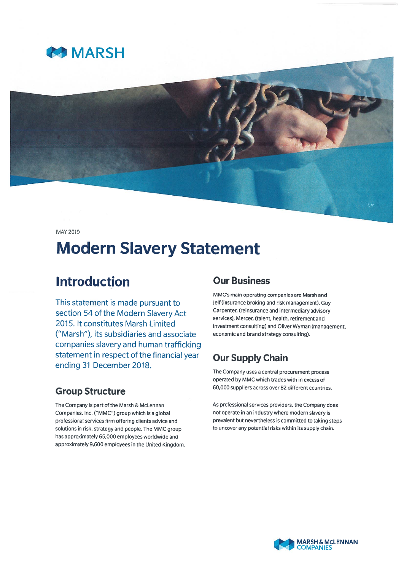



MAY 2019

# Modern Slavery Statement

# Introduction

This statement is made pursuan<sup>t</sup> to section 54 of the Modern Slavery Act 2015. It constitutes Marsh Limited ("Marsh"), its subsidiaries and associate companies slavery and human trafficking statement in respec<sup>t</sup> of the financial year ending 31 December 2018.

## Group Structure

The company is par<sup>t</sup> of the Marsh & McLennan Companies, Inc. ("MMC") group which is <sup>a</sup> global professional services firm offering clients advice and solutions in risk, strategy and people. The MMC group has approximately 65,000 employees worldwide and approximately 9,600 employees in the United Kingdom.

# Our Business

MMC's main operating companies are Marsh and Jelf (insurance broking and risk management), Guy Carpenter, (reinsurance and intermediary advisory services), Mercer, (talent, health, retirement and investment consulting) and Oliver Wyman (management, economic and brand strategy consulting).

# Our Supply Chain

The Company uses <sup>a</sup> central procuremen<sup>t</sup> process operated by MMC which trades with in excess of 60,000 suppliers across over 82 different countries.

As professional services providers, the Company does not operate in an industry where modern slavery is prevalent but nevertheless is committed to taking steps to uncover any potential risks within its supply chain.